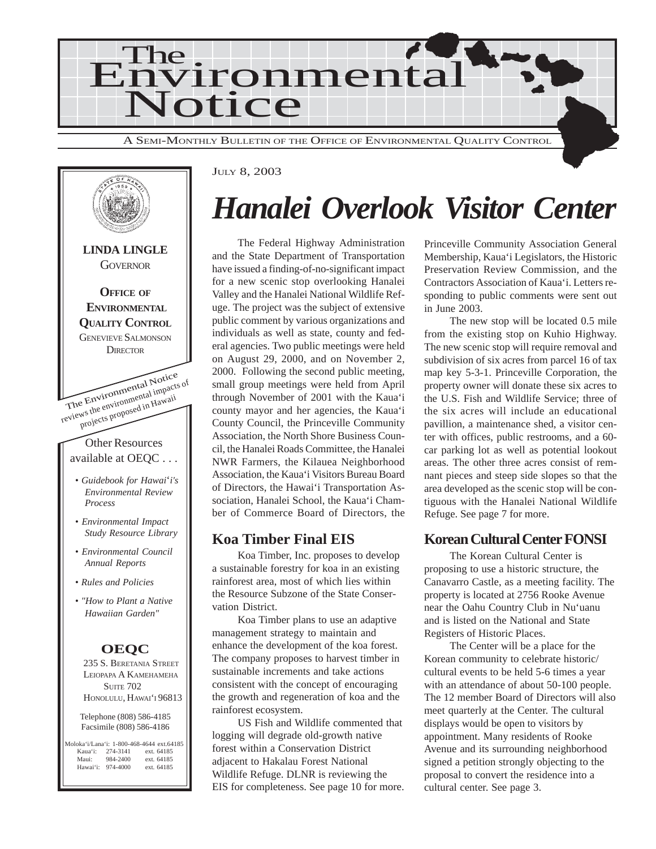



#### JULY 8, 2003

## *Hanalei Overlook Visitor Center*

The Federal Highway Administration and the State Department of Transportation have issued a finding-of-no-significant impact for a new scenic stop overlooking Hanalei Valley and the Hanalei National Wildlife Refuge. The project was the subject of extensive public comment by various organizations and individuals as well as state, county and federal agencies. Two public meetings were held on August 29, 2000, and on November 2, 2000. Following the second public meeting, small group meetings were held from April through November of 2001 with the Kaua'i county mayor and her agencies, the Kaua'i County Council, the Princeville Community Association, the North Shore Business Council, the Hanalei Roads Committee, the Hanalei NWR Farmers, the Kilauea Neighborhood Association, the Kaua'i Visitors Bureau Board of Directors, the Hawai'i Transportation Association, Hanalei School, the Kaua'i Chamber of Commerce Board of Directors, the

#### **Koa Timber Final EIS**

Koa Timber, Inc. proposes to develop a sustainable forestry for koa in an existing rainforest area, most of which lies within the Resource Subzone of the State Conservation District.

Koa Timber plans to use an adaptive management strategy to maintain and enhance the development of the koa forest. The company proposes to harvest timber in sustainable increments and take actions consistent with the concept of encouraging the growth and regeneration of koa and the rainforest ecosystem.

US Fish and Wildlife commented that logging will degrade old-growth native forest within a Conservation District adjacent to Hakalau Forest National Wildlife Refuge. DLNR is reviewing the EIS for completeness. See page 10 for more. Princeville Community Association General Membership, Kaua'i Legislators, the Historic Preservation Review Commission, and the Contractors Association of Kaua'i. Letters responding to public comments were sent out in June 2003.

The new stop will be located 0.5 mile from the existing stop on Kuhio Highway. The new scenic stop will require removal and subdivision of six acres from parcel 16 of tax map key 5-3-1. Princeville Corporation, the property owner will donate these six acres to the U.S. Fish and Wildlife Service; three of the six acres will include an educational pavillion, a maintenance shed, a visitor center with offices, public restrooms, and a 60 car parking lot as well as potential lookout areas. The other three acres consist of remnant pieces and steep side slopes so that the area developed as the scenic stop will be contiguous with the Hanalei National Wildlife Refuge. See page 7 for more.

#### **Korean Cultural Center FONSI**

The Korean Cultural Center is proposing to use a historic structure, the Canavarro Castle, as a meeting facility. The property is located at 2756 Rooke Avenue near the Oahu Country Club in Nu'uanu and is listed on the National and State Registers of Historic Places.

The Center will be a place for the Korean community to celebrate historic/ cultural events to be held 5-6 times a year with an attendance of about 50-100 people. The 12 member Board of Directors will also meet quarterly at the Center. The cultural displays would be open to visitors by appointment. Many residents of Rooke Avenue and its surrounding neighborhood signed a petition strongly objecting to the proposal to convert the residence into a cultural center. See page 3.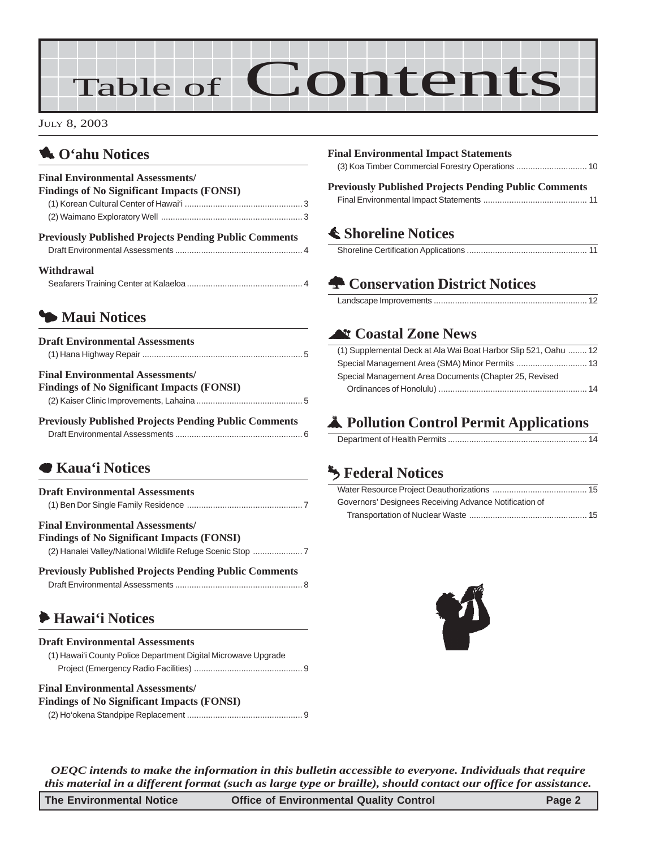# Table of Contents

JULY 8, 2003

### 1 **O'ahu Notices**

| <b>Final Environmental Assessments/</b><br><b>Findings of No Significant Impacts (FONSI)</b> |  |
|----------------------------------------------------------------------------------------------|--|
|                                                                                              |  |
|                                                                                              |  |
| <b>Previously Published Projects Pending Public Comments</b>                                 |  |
| Withdrawal                                                                                   |  |

### 3 **Maui Notices**

| <b>Draft Environmental Assessments</b>                                                       |
|----------------------------------------------------------------------------------------------|
| <b>Final Environmental Assessments/</b><br><b>Findings of No Significant Impacts (FONSI)</b> |
| <b>Previously Published Projects Pending Public Comments</b>                                 |

### 7 **Kaua'i Notices**

| <b>Draft Environmental Assessments</b>  |
|-----------------------------------------|
|                                         |
| <b>Final Environmental Assessments/</b> |

#### **Findings of No Significant Impacts (FONSI)**

[\(2\) Hanalei Valley/National Wildlife Refuge Scenic Stop](#page-6-0) ..................... 7

| <b>Previously Published Projects Pending Public Comments</b> |  |
|--------------------------------------------------------------|--|
|                                                              |  |

### 6 **Hawai'i Notices**

| <b>Draft Environmental Assessments</b>                         |
|----------------------------------------------------------------|
| (1) Hawai'i County Police Department Digital Microwave Upgrade |
|                                                                |

#### **Final Environmental Assessments/ Findings of No Significant Impacts (FONSI)**

| $\frac{1}{2}$ |  |
|---------------|--|
|               |  |

| <b>Final Environmental Impact Statements</b>                 |
|--------------------------------------------------------------|
|                                                              |
| <b>Previously Published Projects Pending Public Comments</b> |
|                                                              |
| <b>≰ Shoreline Notices</b>                                   |
|                                                              |
|                                                              |

### ^ **Coastal Zone News**

| (1) Supplemental Deck at Ala Wai Boat Harbor Slip 521, Oahu  12 |  |
|-----------------------------------------------------------------|--|
|                                                                 |  |
| Special Management Area Documents (Chapter 25, Revised          |  |
|                                                                 |  |

### V **Pollution Control Permit Applications**

|--|

### g **Federal Notices**

| Governors' Designees Receiving Advance Notification of |  |
|--------------------------------------------------------|--|
|                                                        |  |



*OEQC intends to make the information in this bulletin accessible to everyone. Individuals that require this material in a different format (such as large type or braille), should contact our office for assistance.*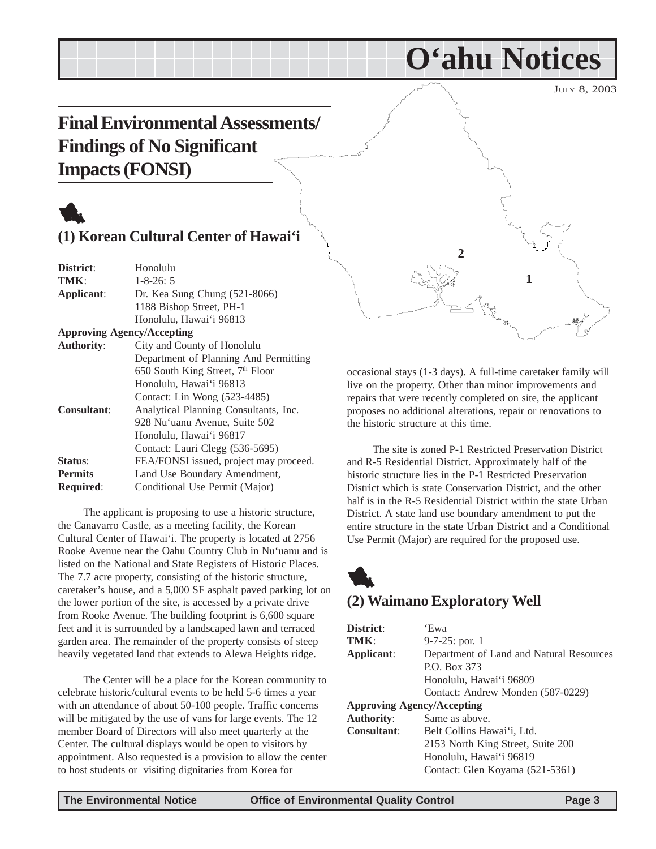JULY 8, 2003

## <span id="page-2-0"></span>**Final Environmental Assessments/ Findings of No Significant Impacts (FONSI)**

#### **(1) Korean Cultural Center of Hawai'i**

| District:                         | Honolulu                                     |
|-----------------------------------|----------------------------------------------|
| TMK:                              | $1 - 8 - 26:5$                               |
| Applicant:                        | Dr. Kea Sung Chung (521-8066)                |
|                                   | 1188 Bishop Street, PH-1                     |
|                                   | Honolulu, Hawai'i 96813                      |
| <b>Approving Agency/Accepting</b> |                                              |
| <b>Authority:</b>                 | City and County of Honolulu                  |
|                                   | Department of Planning And Permitting        |
|                                   | 650 South King Street, 7 <sup>th</sup> Floor |
|                                   | Honolulu, Hawai'i 96813                      |
|                                   | Contact: Lin Wong (523-4485)                 |
| <b>Consultant:</b>                | Analytical Planning Consultants, Inc.        |
|                                   | 928 Nu'uanu Avenue, Suite 502                |
|                                   | Honolulu, Hawai'i 96817                      |
|                                   | Contact: Lauri Clegg (536-5695)              |
| Status:                           | FEA/FONSI issued, project may proceed.       |
| <b>Permits</b>                    | Land Use Boundary Amendment,                 |
| <b>Required:</b>                  | Conditional Use Permit (Major)               |
|                                   |                                              |

The applicant is proposing to use a historic structure, the Canavarro Castle, as a meeting facility, the Korean Cultural Center of Hawai'i. The property is located at 2756 Rooke Avenue near the Oahu Country Club in Nu'uanu and is listed on the National and State Registers of Historic Places. The 7.7 acre property, consisting of the historic structure, caretaker's house, and a 5,000 SF asphalt paved parking lot on the lower portion of the site, is accessed by a private drive from Rooke Avenue. The building footprint is 6,600 square feet and it is surrounded by a landscaped lawn and terraced garden area. The remainder of the property consists of steep heavily vegetated land that extends to Alewa Heights ridge.

The Center will be a place for the Korean community to celebrate historic/cultural events to be held 5-6 times a year with an attendance of about 50-100 people. Traffic concerns will be mitigated by the use of vans for large events. The 12 member Board of Directors will also meet quarterly at the Center. The cultural displays would be open to visitors by appointment. Also requested is a provision to allow the center to host students or visiting dignitaries from Korea for



**O'ahu Notices**

occasional stays (1-3 days). A full-time caretaker family will live on the property. Other than minor improvements and repairs that were recently completed on site, the applicant proposes no additional alterations, repair or renovations to the historic structure at this time.

The site is zoned P-1 Restricted Preservation District and R-5 Residential District. Approximately half of the historic structure lies in the P-1 Restricted Preservation District which is state Conservation District, and the other half is in the R-5 Residential District within the state Urban District. A state land use boundary amendment to put the entire structure in the state Urban District and a Conditional Use Permit (Major) are required for the proposed use.

## 1 **(2) Waimano Exploratory Well**

| District:                         | 'Ewa                                     |
|-----------------------------------|------------------------------------------|
| TMK:                              | $9-7-25$ : por. 1                        |
| Applicant:                        | Department of Land and Natural Resources |
|                                   | P.O. Box 373                             |
|                                   | Honolulu, Hawai'i 96809                  |
|                                   | Contact: Andrew Monden (587-0229)        |
| <b>Approving Agency/Accepting</b> |                                          |
| <b>Authority:</b>                 | Same as above.                           |
| <b>Consultant:</b>                | Belt Collins Hawai'i, Ltd.               |
|                                   | 2153 North King Street, Suite 200        |
|                                   | Honolulu, Hawai'i 96819                  |
|                                   | Contact: Glen Koyama (521-5361)          |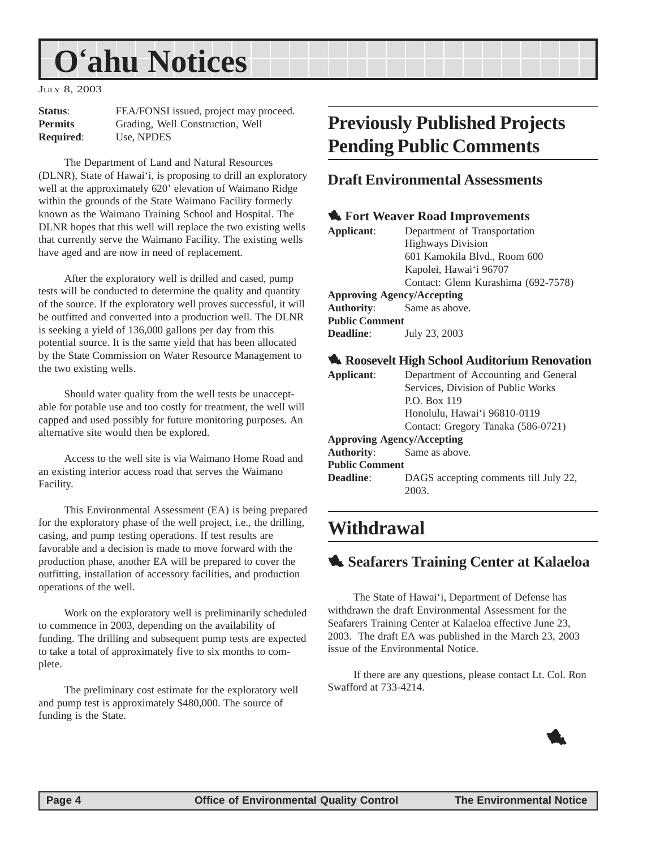## <span id="page-3-0"></span>**O'ahu Notices**

JULY 8, 2003

| <b>Status:</b>   | FEA/FONSI issued, project may proceed. |
|------------------|----------------------------------------|
| <b>Permits</b>   | Grading, Well Construction, Well       |
| <b>Required:</b> | Use, NPDES                             |

The Department of Land and Natural Resources (DLNR), State of Hawai'i, is proposing to drill an exploratory well at the approximately 620' elevation of Waimano Ridge within the grounds of the State Waimano Facility formerly known as the Waimano Training School and Hospital. The DLNR hopes that this well will replace the two existing wells that currently serve the Waimano Facility. The existing wells have aged and are now in need of replacement.

After the exploratory well is drilled and cased, pump tests will be conducted to determine the quality and quantity of the source. If the exploratory well proves successful, it will be outfitted and converted into a production well. The DLNR is seeking a yield of 136,000 gallons per day from this potential source. It is the same yield that has been allocated by the State Commission on Water Resource Management to the two existing wells.

Should water quality from the well tests be unacceptable for potable use and too costly for treatment, the well will capped and used possibly for future monitoring purposes. An alternative site would then be explored.

Access to the well site is via Waimano Home Road and an existing interior access road that serves the Waimano Facility.

This Environmental Assessment (EA) is being prepared for the exploratory phase of the well project, i.e., the drilling, casing, and pump testing operations. If test results are favorable and a decision is made to move forward with the production phase, another EA will be prepared to cover the outfitting, installation of accessory facilities, and production operations of the well.

Work on the exploratory well is preliminarily scheduled to commence in 2003, depending on the availability of funding. The drilling and subsequent pump tests are expected to take a total of approximately five to six months to complete.

The preliminary cost estimate for the exploratory well and pump test is approximately \$480,000. The source of funding is the State.

## **Previously Published Projects Pending Public Comments**

#### **Draft Environmental Assessments**

#### 1 **Fort Weaver Road Improvements**

| Applicant:                        | Department of Transportation        |
|-----------------------------------|-------------------------------------|
|                                   | <b>Highways Division</b>            |
|                                   | 601 Kamokila Blvd., Room 600        |
|                                   | Kapolei, Hawai'i 96707              |
|                                   | Contact: Glenn Kurashima (692-7578) |
| <b>Approving Agency/Accepting</b> |                                     |
| <b>Authority:</b> Same as above.  |                                     |
| <b>Public Comment</b>             |                                     |
| Deadline:                         | July 23, 2003                       |
|                                   |                                     |

#### 1 **Roosevelt High School Auditorium Renovation**

| Applicant:                        | Department of Accounting and General  |
|-----------------------------------|---------------------------------------|
|                                   | Services, Division of Public Works    |
|                                   | P.O. Box 119                          |
|                                   | Honolulu, Hawai'i 96810-0119          |
|                                   | Contact: Gregory Tanaka (586-0721)    |
| <b>Approving Agency/Accepting</b> |                                       |
| <b>Authority:</b>                 | Same as above.                        |
| <b>Public Comment</b>             |                                       |
| Deadline:                         | DAGS accepting comments till July 22, |
|                                   | 2003.                                 |

### **Withdrawal**

### 1 **Seafarers Training Center at Kalaeloa**

The State of Hawai'i, Department of Defense has withdrawn the draft Environmental Assessment for the Seafarers Training Center at Kalaeloa effective June 23, 2003. The draft EA was published in the March 23, 2003 issue of the Environmental Notice.

If there are any questions, please contact Lt. Col. Ron Swafford at 733-4214.

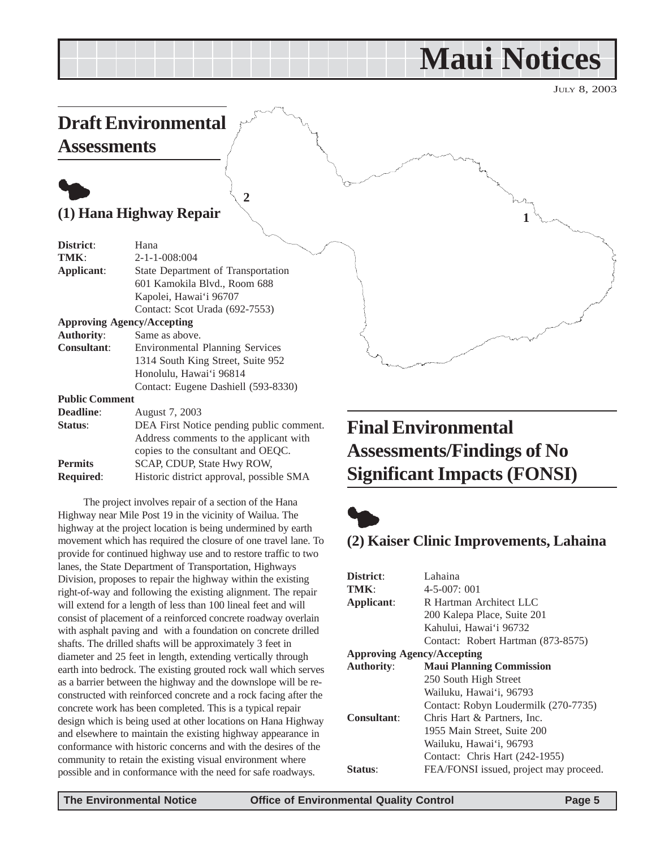## **Maui Notices**

**1**

JULY 8, 2003

## <span id="page-4-0"></span>**Draft Environmental Assessments**

## $\bullet$

**(1) Hana Highway Repair**

| District:             | Hana                                     |
|-----------------------|------------------------------------------|
| TMK:                  | $2 - 1 - 1 - 008:004$                    |
| Applicant:            | State Department of Transportation       |
|                       | 601 Kamokila Blvd., Room 688             |
|                       | Kapolei, Hawai'i 96707                   |
|                       | Contact: Scot Urada (692-7553)           |
|                       | <b>Approving Agency/Accepting</b>        |
| <b>Authority:</b>     | Same as above.                           |
| <b>Consultant:</b>    | <b>Environmental Planning Services</b>   |
|                       | 1314 South King Street, Suite 952        |
|                       | Honolulu, Hawai'i 96814                  |
|                       | Contact: Eugene Dashiell (593-8330)      |
| <b>Public Comment</b> |                                          |
| <b>Deadline:</b>      | August 7, 2003                           |
| Status:               | DEA First Notice pending public comment. |

**2**

|                  | Address comments to the applicant with   |
|------------------|------------------------------------------|
|                  | copies to the consultant and OEOC.       |
| <b>Permits</b>   | SCAP, CDUP, State Hwy ROW,               |
| <b>Required:</b> | Historic district approval, possible SMA |
|                  |                                          |

The project involves repair of a section of the Hana Highway near Mile Post 19 in the vicinity of Wailua. The highway at the project location is being undermined by earth movement which has required the closure of one travel lane. To provide for continued highway use and to restore traffic to two lanes, the State Department of Transportation, Highways Division, proposes to repair the highway within the existing right-of-way and following the existing alignment. The repair will extend for a length of less than 100 lineal feet and will consist of placement of a reinforced concrete roadway overlain with asphalt paving and with a foundation on concrete drilled shafts. The drilled shafts will be approximately 3 feet in diameter and 25 feet in length, extending vertically through earth into bedrock. The existing grouted rock wall which serves as a barrier between the highway and the downslope will be reconstructed with reinforced concrete and a rock facing after the concrete work has been completed. This is a typical repair design which is being used at other locations on Hana Highway and elsewhere to maintain the existing highway appearance in conformance with historic concerns and with the desires of the community to retain the existing visual environment where possible and in conformance with the need for safe roadways.

## **Final Environmental Assessments/Findings of No Significant Impacts (FONSI)**



### **(2) Kaiser Clinic Improvements, Lahaina**

| District:          | Lahaina                                |
|--------------------|----------------------------------------|
| TMK:               | $4 - 5 - 007$ ; 001                    |
| Applicant:         | R Hartman Architect LLC                |
|                    | 200 Kalepa Place, Suite 201            |
|                    | Kahului, Hawai'i 96732                 |
|                    | Contact: Robert Hartman (873-8575)     |
|                    | <b>Approving Agency/Accepting</b>      |
| <b>Authority:</b>  | <b>Maui Planning Commission</b>        |
|                    | 250 South High Street                  |
|                    | Wailuku, Hawai'i, 96793                |
|                    | Contact: Robyn Loudermilk (270-7735)   |
| <b>Consultant:</b> | Chris Hart & Partners, Inc.            |
|                    | 1955 Main Street, Suite 200            |
|                    | Wailuku, Hawai'i, 96793                |
|                    | Contact: Chris Hart (242-1955)         |
| <b>Status:</b>     | FEA/FONSI issued, project may proceed. |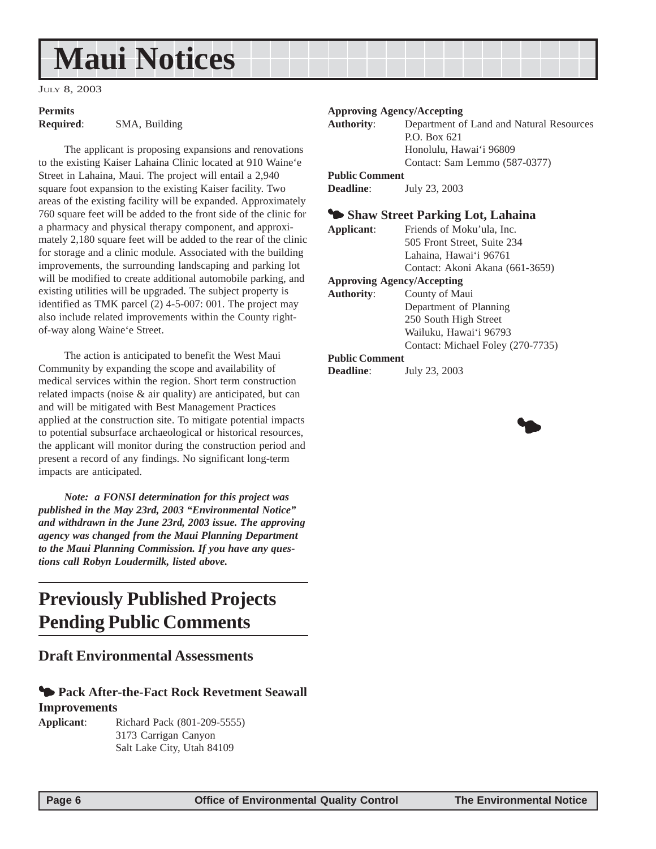## <span id="page-5-0"></span>**Maui Notices**

JULY 8, 2003

## **Permits**

**Required**: SMA, Building

The applicant is proposing expansions and renovations to the existing Kaiser Lahaina Clinic located at 910 Waine'e Street in Lahaina, Maui. The project will entail a 2,940 square foot expansion to the existing Kaiser facility. Two areas of the existing facility will be expanded. Approximately 760 square feet will be added to the front side of the clinic for a pharmacy and physical therapy component, and approximately 2,180 square feet will be added to the rear of the clinic for storage and a clinic module. Associated with the building improvements, the surrounding landscaping and parking lot will be modified to create additional automobile parking, and existing utilities will be upgraded. The subject property is identified as TMK parcel (2) 4-5-007: 001. The project may also include related improvements within the County rightof-way along Waine'e Street.

The action is anticipated to benefit the West Maui Community by expanding the scope and availability of medical services within the region. Short term construction related impacts (noise & air quality) are anticipated, but can and will be mitigated with Best Management Practices applied at the construction site. To mitigate potential impacts to potential subsurface archaeological or historical resources, the applicant will monitor during the construction period and present a record of any findings. No significant long-term impacts are anticipated.

*Note: a FONSI determination for this project was published in the May 23rd, 2003 "Environmental Notice" and withdrawn in the June 23rd, 2003 issue. The approving agency was changed from the Maui Planning Department to the Maui Planning Commission. If you have any questions call Robyn Loudermilk, listed above.*

## **Previously Published Projects Pending Public Comments**

#### **Draft Environmental Assessments**

#### **<sup>4</sup> Pack After-the-Fact Rock Revetment Seawall Improvements**

**Applicant**: Richard Pack (801-209-5555) 3173 Carrigan Canyon Salt Lake City, Utah 84109

#### **Approving Agency/Accepting**

| <b>Authority:</b>     | Department of Land and Natural Resources |
|-----------------------|------------------------------------------|
|                       | P.O. Box 621                             |
|                       | Honolulu, Hawai'i 96809                  |
|                       | Contact: Sam Lemmo (587-0377)            |
| <b>Public Comment</b> |                                          |

**Deadline**: July 23, 2003

#### 3 **Shaw Street Parking Lot, Lahaina**

| Applicant:                        | Friends of Moku'ula, Inc.       |
|-----------------------------------|---------------------------------|
|                                   | 505 Front Street, Suite 234     |
|                                   | Lahaina, Hawai'i 96761          |
|                                   | Contact: Akoni Akana (661-3659) |
| <b>Approving Agency/Accepting</b> |                                 |
| <b>Authority:</b>                 | County of Maui                  |
|                                   | Department of Planning          |
|                                   |                                 |

250 South High Street Wailuku, Hawai'i 96793 Contact: Michael Foley (270-7735)

#### **Public Comment**

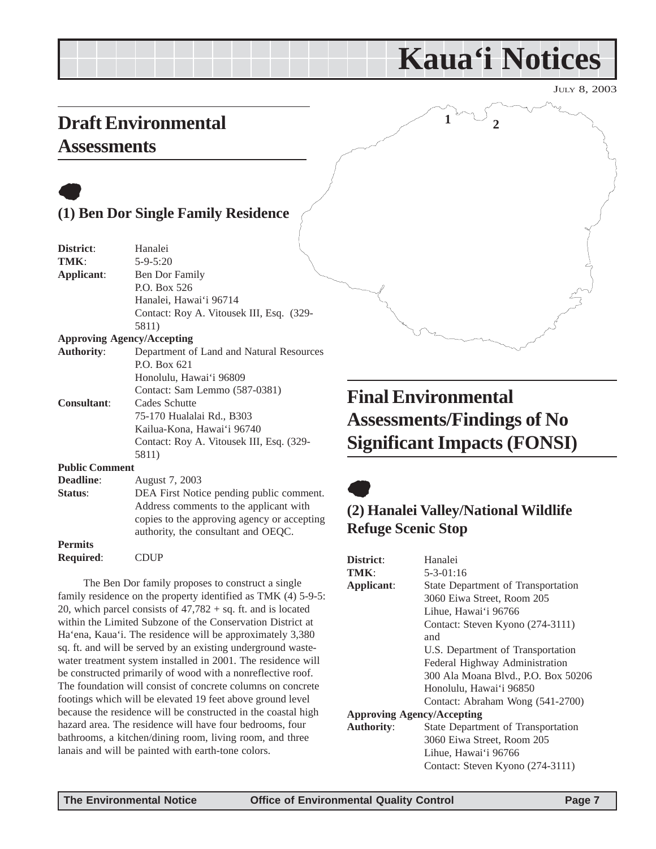## **Kaua'i Notices**

 $\begin{smallmatrix} 1 & ^{\circ} & \circ \ \circ & \circ & \ 2 & & \end{smallmatrix}$ 

JULY 8, 2003

## <span id="page-6-0"></span>**Draft Environmental**

## **Assessments**

## $\bullet$ **(1) Ben Dor Single Family Residence**

| District:             | Hanalei                                     |
|-----------------------|---------------------------------------------|
| TMK:                  | $5 - 9 - 5:20$                              |
| Applicant:            | Ben Dor Family                              |
|                       | P.O. Box 526                                |
|                       | Hanalei, Hawai'i 96714                      |
|                       | Contact: Roy A. Vitousek III, Esq. (329-    |
|                       | 5811)                                       |
|                       | <b>Approving Agency/Accepting</b>           |
| <b>Authority:</b>     | Department of Land and Natural Resources    |
|                       | P.O. Box 621                                |
|                       | Honolulu, Hawai'i 96809                     |
|                       | Contact: Sam Lemmo (587-0381)               |
| <b>Consultant:</b>    | Cades Schutte                               |
|                       | 75-170 Hualalai Rd., B303                   |
|                       | Kailua-Kona, Hawai'i 96740                  |
|                       | Contact: Roy A. Vitousek III, Esq. (329-    |
|                       | 5811)                                       |
| <b>Public Comment</b> |                                             |
| Deadline:             | August 7, 2003                              |
| Status:               | DEA First Notice pending public comment.    |
|                       | Address comments to the applicant with      |
|                       | copies to the approving agency or accepting |
|                       | authority, the consultant and OEQC.         |
| <b>Permits</b>        |                                             |
| <b>Required:</b>      | <b>CDUP</b>                                 |

The Ben Dor family proposes to construct a single family residence on the property identified as TMK (4) 5-9-5: 20, which parcel consists of  $47,782 + sq$ . ft. and is located within the Limited Subzone of the Conservation District at Ha'ena, Kaua'i. The residence will be approximately 3,380 sq. ft. and will be served by an existing underground wastewater treatment system installed in 2001. The residence will be constructed primarily of wood with a nonreflective roof. The foundation will consist of concrete columns on concrete footings which will be elevated 19 feet above ground level because the residence will be constructed in the coastal high hazard area. The residence will have four bedrooms, four bathrooms, a kitchen/dining room, living room, and three lanais and will be painted with earth-tone colors.

## **Final Environmental Assessments/Findings of No Significant Impacts (FONSI)**

## $\bullet$

### **(2) Hanalei Valley/National Wildlife Refuge Scenic Stop**

| District:                         | Hanalei                             |  |
|-----------------------------------|-------------------------------------|--|
| TMK:                              | $5 - 3 - 01:16$                     |  |
| Applicant:                        | State Department of Transportation  |  |
|                                   | 3060 Eiwa Street, Room 205          |  |
|                                   | Lihue, Hawai'i 96766                |  |
|                                   | Contact: Steven Kyono (274-3111)    |  |
|                                   | and                                 |  |
|                                   | U.S. Department of Transportation   |  |
|                                   | Federal Highway Administration      |  |
|                                   | 300 Ala Moana Blvd., P.O. Box 50206 |  |
|                                   | Honolulu, Hawai'i 96850             |  |
|                                   | Contact: Abraham Wong (541-2700)    |  |
| <b>Approving Agency/Accepting</b> |                                     |  |
| <b>Authority:</b>                 | State Department of Transportation  |  |
|                                   | 3060 Eiwa Street, Room 205          |  |
|                                   | Lihue, Hawai'i 96766                |  |
|                                   | Contact: Steven Kyono (274-3111)    |  |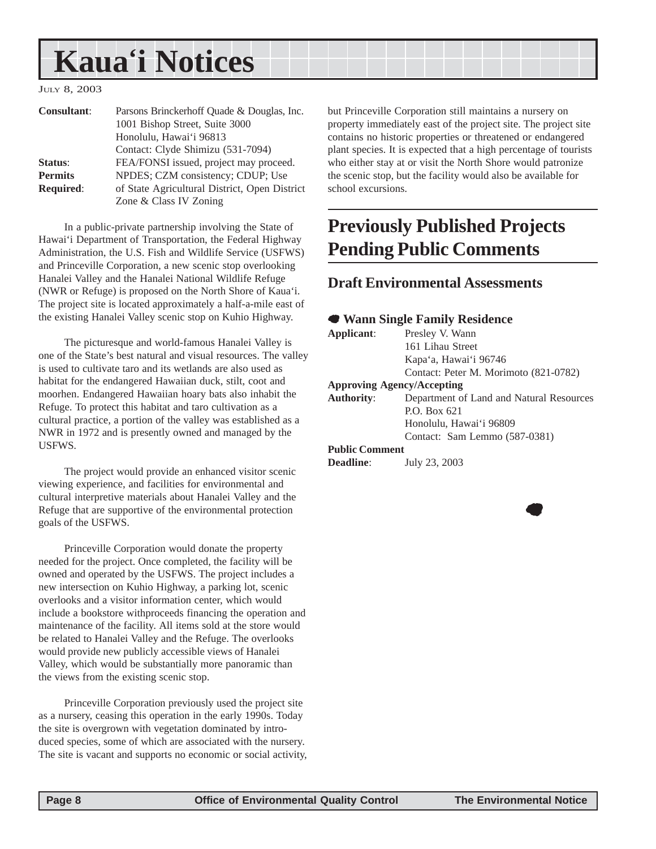## <span id="page-7-0"></span>**Kaua'i Notices**

#### JULY 8, 2003

| <b>Consultant:</b> | Parsons Brinckerhoff Quade & Douglas, Inc.<br>1001 Bishop Street, Suite 3000 |
|--------------------|------------------------------------------------------------------------------|
|                    | Honolulu, Hawai'i 96813                                                      |
|                    | Contact: Clyde Shimizu (531-7094)                                            |
| Status:            | FEA/FONSI issued, project may proceed.                                       |
| <b>Permits</b>     | NPDES; CZM consistency; CDUP; Use                                            |
| <b>Required:</b>   | of State Agricultural District, Open District                                |
|                    | Zone & Class IV Zoning                                                       |

In a public-private partnership involving the State of Hawai'i Department of Transportation, the Federal Highway Administration, the U.S. Fish and Wildlife Service (USFWS) and Princeville Corporation, a new scenic stop overlooking Hanalei Valley and the Hanalei National Wildlife Refuge (NWR or Refuge) is proposed on the North Shore of Kaua'i. The project site is located approximately a half-a-mile east of the existing Hanalei Valley scenic stop on Kuhio Highway.

The picturesque and world-famous Hanalei Valley is one of the State's best natural and visual resources. The valley is used to cultivate taro and its wetlands are also used as habitat for the endangered Hawaiian duck, stilt, coot and moorhen. Endangered Hawaiian hoary bats also inhabit the Refuge. To protect this habitat and taro cultivation as a cultural practice, a portion of the valley was established as a NWR in 1972 and is presently owned and managed by the USFWS.

The project would provide an enhanced visitor scenic viewing experience, and facilities for environmental and cultural interpretive materials about Hanalei Valley and the Refuge that are supportive of the environmental protection goals of the USFWS.

Princeville Corporation would donate the property needed for the project. Once completed, the facility will be owned and operated by the USFWS. The project includes a new intersection on Kuhio Highway, a parking lot, scenic overlooks and a visitor information center, which would include a bookstore withproceeds financing the operation and maintenance of the facility. All items sold at the store would be related to Hanalei Valley and the Refuge. The overlooks would provide new publicly accessible views of Hanalei Valley, which would be substantially more panoramic than the views from the existing scenic stop.

Princeville Corporation previously used the project site as a nursery, ceasing this operation in the early 1990s. Today the site is overgrown with vegetation dominated by introduced species, some of which are associated with the nursery. The site is vacant and supports no economic or social activity, but Princeville Corporation still maintains a nursery on property immediately east of the project site. The project site contains no historic properties or threatened or endangered plant species. It is expected that a high percentage of tourists who either stay at or visit the North Shore would patronize the scenic stop, but the facility would also be available for school excursions.

## **Previously Published Projects Pending Public Comments**

#### **Draft Environmental Assessments**

#### 7 **Wann Single Family Residence**

| Applicant:            | Presley V. Wann                          |
|-----------------------|------------------------------------------|
|                       | 161 Lihau Street                         |
|                       | Kapa'a, Hawai'i 96746                    |
|                       | Contact: Peter M. Morimoto (821-0782)    |
|                       | <b>Approving Agency/Accepting</b>        |
| <b>Authority:</b>     | Department of Land and Natural Resources |
|                       | P.O. Box 621                             |
|                       | Honolulu, Hawai'i 96809                  |
|                       | Contact: Sam Lemmo (587-0381)            |
| <b>Public Comment</b> |                                          |
| <b>Deadline:</b>      | July 23, 2003                            |
|                       |                                          |
|                       |                                          |

 $\bullet$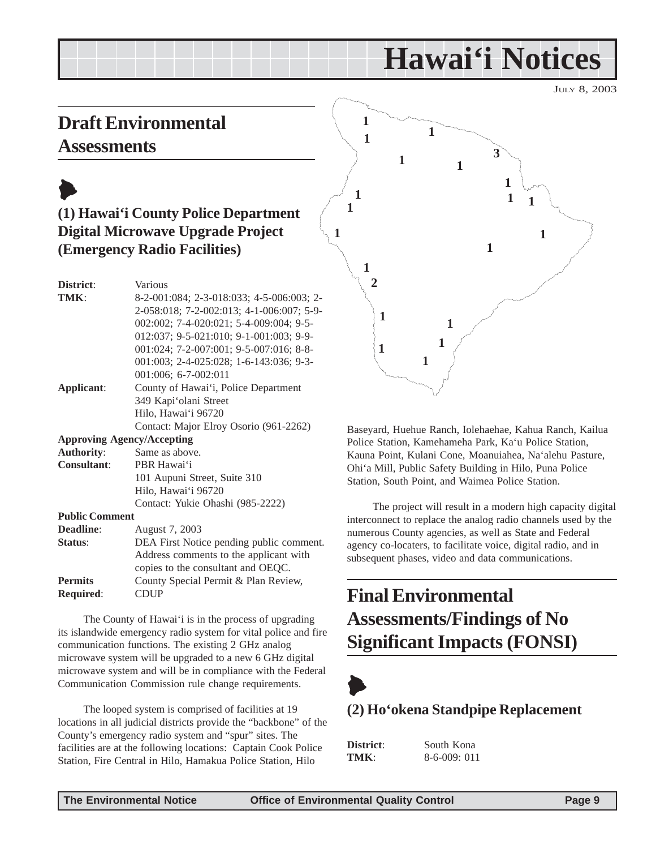## **Hawai'i Notices**

JULY 8, 2003

## <span id="page-8-0"></span>**Draft Environmental Assessments**

## $\blacktriangleright$ **(1) Hawai'i County Police Department Digital Microwave Upgrade Project (Emergency Radio Facilities)**

| District:                         | Various                                   |
|-----------------------------------|-------------------------------------------|
| TMK:                              | 8-2-001:084; 2-3-018:033; 4-5-006:003; 2- |
|                                   | 2-058:018; 7-2-002:013; 4-1-006:007; 5-9- |
|                                   | 002:002; 7-4-020:021; 5-4-009:004; 9-5-   |
|                                   | 012:037; 9-5-021:010; 9-1-001:003; 9-9-   |
|                                   | 001:024; 7-2-007:001; 9-5-007:016; 8-8-   |
|                                   | 001:003; 2-4-025:028; 1-6-143:036; 9-3-   |
|                                   | 001:006; 6-7-002:011                      |
| Applicant:                        | County of Hawai'i, Police Department      |
|                                   | 349 Kapi'olani Street                     |
|                                   | Hilo, Hawai'i 96720                       |
|                                   | Contact: Major Elroy Osorio (961-2262)    |
| <b>Approving Agency/Accepting</b> |                                           |
| <b>Authority:</b>                 | Same as above.                            |
| <b>Consultant:</b>                | PBR Hawai'i                               |
|                                   | 101 Aupuni Street, Suite 310              |
|                                   | Hilo, Hawai'i 96720                       |
|                                   | Contact: Yukie Ohashi (985-2222)          |
| <b>Public Comment</b>             |                                           |
| Deadline:                         | August 7, 2003                            |
| Status:                           | DEA First Notice pending public comment.  |
|                                   | Address comments to the applicant with    |
|                                   | copies to the consultant and OEQC.        |
| <b>Permits</b>                    | County Special Permit & Plan Review,      |
| <b>Required:</b>                  | <b>CDUP</b>                               |

The County of Hawai'i is in the process of upgrading its islandwide emergency radio system for vital police and fire communication functions. The existing 2 GHz analog microwave system will be upgraded to a new 6 GHz digital microwave system and will be in compliance with the Federal Communication Commission rule change requirements.

The looped system is comprised of facilities at 19 locations in all judicial districts provide the "backbone" of the County's emergency radio system and "spur" sites. The facilities are at the following locations: Captain Cook Police Station, Fire Central in Hilo, Hamakua Police Station, Hilo



Baseyard, Huehue Ranch, Iolehaehae, Kahua Ranch, Kailua Police Station, Kamehameha Park, Ka'u Police Station, Kauna Point, Kulani Cone, Moanuiahea, Na'alehu Pasture, Ohi'a Mill, Public Safety Building in Hilo, Puna Police Station, South Point, and Waimea Police Station.

The project will result in a modern high capacity digital interconnect to replace the analog radio channels used by the numerous County agencies, as well as State and Federal agency co-locaters, to facilitate voice, digital radio, and in subsequent phases, video and data communications.

## **Final Environmental Assessments/Findings of No Significant Impacts (FONSI)**



### **(2) Ho'okena Standpipe Replacement**

| District: |  |
|-----------|--|
| TMK:      |  |

South Kona **TMK**: 8-6-009: 011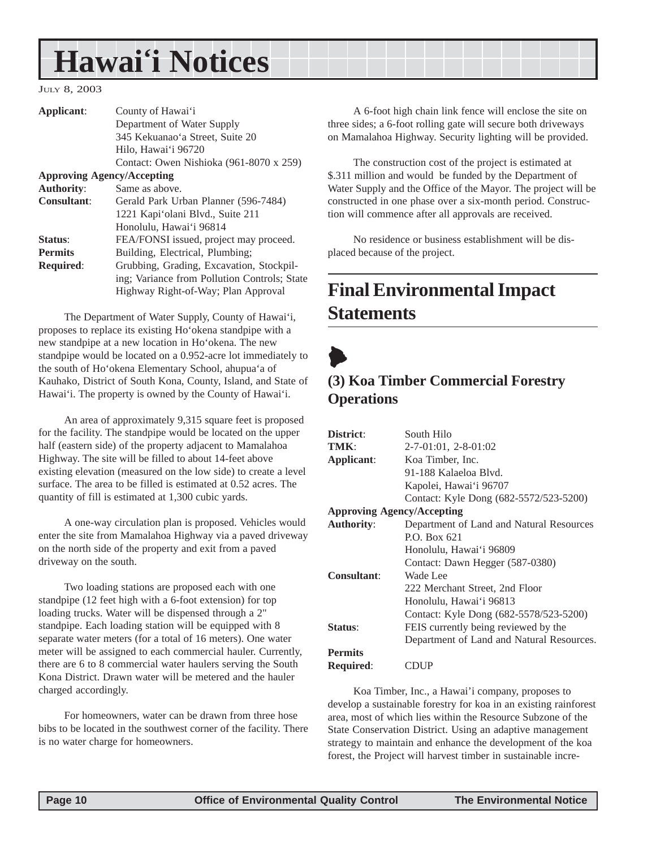## <span id="page-9-0"></span>**Hawai'i Notices**

#### JULY 8, 2003

| Applicant:         | County of Hawai'i                            |
|--------------------|----------------------------------------------|
|                    | Department of Water Supply                   |
|                    | 345 Kekuanao'a Street, Suite 20              |
|                    | Hilo, Hawai'i 96720                          |
|                    | Contact: Owen Nishioka (961-8070 x 259)      |
|                    | <b>Approving Agency/Accepting</b>            |
| <b>Authority:</b>  | Same as above.                               |
| <b>Consultant:</b> | Gerald Park Urban Planner (596-7484)         |
|                    | 1221 Kapi'olani Blvd., Suite 211             |
|                    | Honolulu, Hawai'i 96814                      |
| Status:            | FEA/FONSI issued, project may proceed.       |
| <b>Permits</b>     | Building, Electrical, Plumbing;              |
| <b>Required:</b>   | Grubbing, Grading, Excavation, Stockpil-     |
|                    | ing; Variance from Pollution Controls; State |
|                    | Highway Right-of-Way; Plan Approval          |
|                    |                                              |

The Department of Water Supply, County of Hawai'i, proposes to replace its existing Ho'okena standpipe with a new standpipe at a new location in Ho'okena. The new standpipe would be located on a 0.952-acre lot immediately to the south of Ho'okena Elementary School, ahupua'a of Kauhako, District of South Kona, County, Island, and State of Hawai'i. The property is owned by the County of Hawai'i.

An area of approximately 9,315 square feet is proposed for the facility. The standpipe would be located on the upper half (eastern side) of the property adjacent to Mamalahoa Highway. The site will be filled to about 14-feet above existing elevation (measured on the low side) to create a level surface. The area to be filled is estimated at 0.52 acres. The quantity of fill is estimated at 1,300 cubic yards.

A one-way circulation plan is proposed. Vehicles would enter the site from Mamalahoa Highway via a paved driveway on the north side of the property and exit from a paved driveway on the south.

Two loading stations are proposed each with one standpipe (12 feet high with a 6-foot extension) for top loading trucks. Water will be dispensed through a 2" standpipe. Each loading station will be equipped with 8 separate water meters (for a total of 16 meters). One water meter will be assigned to each commercial hauler. Currently, there are 6 to 8 commercial water haulers serving the South Kona District. Drawn water will be metered and the hauler charged accordingly.

For homeowners, water can be drawn from three hose bibs to be located in the southwest corner of the facility. There is no water charge for homeowners.

A 6-foot high chain link fence will enclose the site on three sides; a 6-foot rolling gate will secure both driveways on Mamalahoa Highway. Security lighting will be provided.

The construction cost of the project is estimated at \$.311 million and would be funded by the Department of Water Supply and the Office of the Mayor. The project will be constructed in one phase over a six-month period. Construction will commence after all approvals are received.

No residence or business establishment will be displaced because of the project.

## **Final Environmental Impact Statements**



### **(3) Koa Timber Commercial Forestry Operations**

| District:                         | South Hilo                                |
|-----------------------------------|-------------------------------------------|
| TMK:                              | $2-7-01:01$ , $2-8-01:02$                 |
| Applicant:                        | Koa Timber, Inc.                          |
|                                   | 91-188 Kalaeloa Blyd.                     |
|                                   | Kapolei, Hawai'i 96707                    |
|                                   | Contact: Kyle Dong (682-5572/523-5200)    |
| <b>Approving Agency/Accepting</b> |                                           |
| <b>Authority:</b>                 | Department of Land and Natural Resources  |
|                                   | P.O. Box 621                              |
|                                   | Honolulu, Hawai'i 96809                   |
|                                   | Contact: Dawn Hegger (587-0380)           |
| Consultant:                       | Wade Lee                                  |
|                                   | 222 Merchant Street, 2nd Floor            |
|                                   | Honolulu, Hawai'i 96813                   |
|                                   | Contact: Kyle Dong (682-5578/523-5200)    |
| <b>Status:</b>                    | FEIS currently being reviewed by the      |
|                                   | Department of Land and Natural Resources. |
| <b>Permits</b>                    |                                           |
| <b>Required:</b>                  | CDUP                                      |

Koa Timber, Inc., a Hawai'i company, proposes to develop a sustainable forestry for koa in an existing rainforest area, most of which lies within the Resource Subzone of the State Conservation District. Using an adaptive management strategy to maintain and enhance the development of the koa forest, the Project will harvest timber in sustainable incre-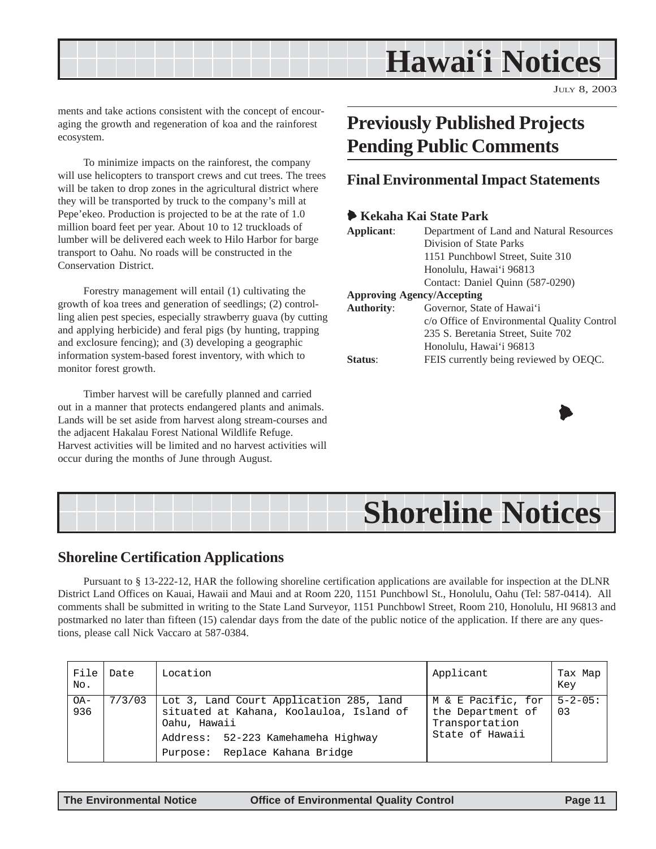## **Hawai'i Notices**

JULY 8, 2003

<span id="page-10-0"></span>ments and take actions consistent with the concept of encouraging the growth and regeneration of koa and the rainforest ecosystem.

To minimize impacts on the rainforest, the company will use helicopters to transport crews and cut trees. The trees will be taken to drop zones in the agricultural district where they will be transported by truck to the company's mill at Pepe'ekeo. Production is projected to be at the rate of 1.0 million board feet per year. About 10 to 12 truckloads of lumber will be delivered each week to Hilo Harbor for barge transport to Oahu. No roads will be constructed in the Conservation District.

Forestry management will entail (1) cultivating the growth of koa trees and generation of seedlings; (2) controlling alien pest species, especially strawberry guava (by cutting and applying herbicide) and feral pigs (by hunting, trapping and exclosure fencing); and (3) developing a geographic information system-based forest inventory, with which to monitor forest growth.

Timber harvest will be carefully planned and carried out in a manner that protects endangered plants and animals. Lands will be set aside from harvest along stream-courses and the adjacent Hakalau Forest National Wildlife Refuge. Harvest activities will be limited and no harvest activities will occur during the months of June through August.

## **Previously Published Projects Pending Public Comments**

#### **Final Environmental Impact Statements**

#### 6 **Kekaha Kai State Park**

| Applicant:                        | Department of Land and Natural Resources    |  |
|-----------------------------------|---------------------------------------------|--|
|                                   | Division of State Parks                     |  |
|                                   | 1151 Punchbowl Street, Suite 310            |  |
|                                   | Honolulu, Hawai'i 96813                     |  |
|                                   | Contact: Daniel Quinn (587-0290)            |  |
| <b>Approving Agency/Accepting</b> |                                             |  |
| <b>Authority:</b>                 | Governor, State of Hawai'i                  |  |
|                                   | c/o Office of Environmental Quality Control |  |
|                                   | 235 S. Beretania Street, Suite 702          |  |
|                                   | Honolulu, Hawai'i 96813                     |  |
| Status <sup>.</sup>               | FEIS currently being reviewed by OEQC.      |  |



## **Shoreline Notices**

#### **Shoreline Certification Applications**

Pursuant to § 13-222-12, HAR the following shoreline certification applications are available for inspection at the DLNR District Land Offices on Kauai, Hawaii and Maui and at Room 220, 1151 Punchbowl St., Honolulu, Oahu (Tel: 587-0414). All comments shall be submitted in writing to the State Land Surveyor, 1151 Punchbowl Street, Room 210, Honolulu, HI 96813 and postmarked no later than fifteen (15) calendar days from the date of the public notice of the application. If there are any questions, please call Nick Vaccaro at 587-0384.

| File<br>No.   | Date   | Location                                                                                                                                                                    | Applicant                                                                    | Tax Map<br>Key       |
|---------------|--------|-----------------------------------------------------------------------------------------------------------------------------------------------------------------------------|------------------------------------------------------------------------------|----------------------|
| $OA -$<br>936 | 7/3/03 | Lot 3, Land Court Application 285, land<br>situated at Kahana, Koolauloa, Island of<br>Oahu, Hawaii<br>Address: 52-223 Kamehameha Highway<br>Purpose: Replace Kahana Bridge | M & E Pacific, for<br>the Department of<br>Transportation<br>State of Hawaii | $5 - 2 - 05$ :<br>03 |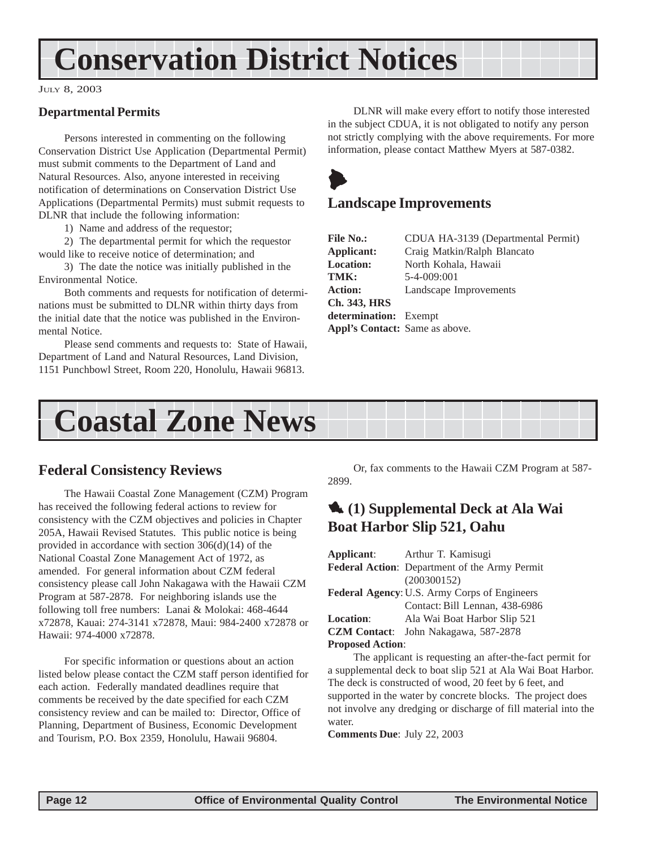## <span id="page-11-0"></span>**Conservation District Notices**

#### JULY 8, 2003

#### **Departmental Permits**

Persons interested in commenting on the following Conservation District Use Application (Departmental Permit) must submit comments to the Department of Land and Natural Resources. Also, anyone interested in receiving notification of determinations on Conservation District Use Applications (Departmental Permits) must submit requests to DLNR that include the following information:

1) Name and address of the requestor;

2) The departmental permit for which the requestor would like to receive notice of determination; and

3) The date the notice was initially published in the Environmental Notice.

Both comments and requests for notification of determinations must be submitted to DLNR within thirty days from the initial date that the notice was published in the Environmental Notice.

Please send comments and requests to: State of Hawaii, Department of Land and Natural Resources, Land Division, 1151 Punchbowl Street, Room 220, Honolulu, Hawaii 96813.

DLNR will make every effort to notify those interested in the subject CDUA, it is not obligated to notify any person not strictly complying with the above requirements. For more information, please contact Matthew Myers at 587-0382.



#### **Landscape Improvements**

| CDUA HA-3139 (Departmental Permit) |
|------------------------------------|
| Craig Matkin/Ralph Blancato        |
| North Kohala, Hawaii               |
| 5-4-009:001                        |
| Landscape Improvements             |
|                                    |
| determination: Exempt              |
| Appl's Contact: Same as above.     |
|                                    |



### **Federal Consistency Reviews**

The Hawaii Coastal Zone Management (CZM) Program has received the following federal actions to review for consistency with the CZM objectives and policies in Chapter 205A, Hawaii Revised Statutes. This public notice is being provided in accordance with section 306(d)(14) of the National Coastal Zone Management Act of 1972, as amended. For general information about CZM federal consistency please call John Nakagawa with the Hawaii CZM Program at 587-2878. For neighboring islands use the following toll free numbers: Lanai & Molokai: 468-4644 x72878, Kauai: 274-3141 x72878, Maui: 984-2400 x72878 or Hawaii: 974-4000 x72878.

For specific information or questions about an action listed below please contact the CZM staff person identified for each action. Federally mandated deadlines require that comments be received by the date specified for each CZM consistency review and can be mailed to: Director, Office of Planning, Department of Business, Economic Development and Tourism, P.O. Box 2359, Honolulu, Hawaii 96804.

Or, fax comments to the Hawaii CZM Program at 587- 2899.

### 1 **(1) Supplemental Deck at Ala Wai Boat Harbor Slip 521, Oahu**

|                                                     | <b>Applicant:</b> Arthur T. Kamisugi          |  |
|-----------------------------------------------------|-----------------------------------------------|--|
|                                                     | Federal Action: Department of the Army Permit |  |
|                                                     | (200300152)                                   |  |
| <b>Federal Agency: U.S. Army Corps of Engineers</b> |                                               |  |
|                                                     | Contact: Bill Lennan, 438-6986                |  |
| <b>Location:</b>                                    | Ala Wai Boat Harbor Slip 521                  |  |
|                                                     | CZM Contact: John Nakagawa, 587-2878          |  |
| <b>Proposed Action:</b>                             |                                               |  |

The applicant is requesting an after-the-fact permit for a supplemental deck to boat slip 521 at Ala Wai Boat Harbor. The deck is constructed of wood, 20 feet by 6 feet, and supported in the water by concrete blocks. The project does not involve any dredging or discharge of fill material into the water.

**Comments Due**: July 22, 2003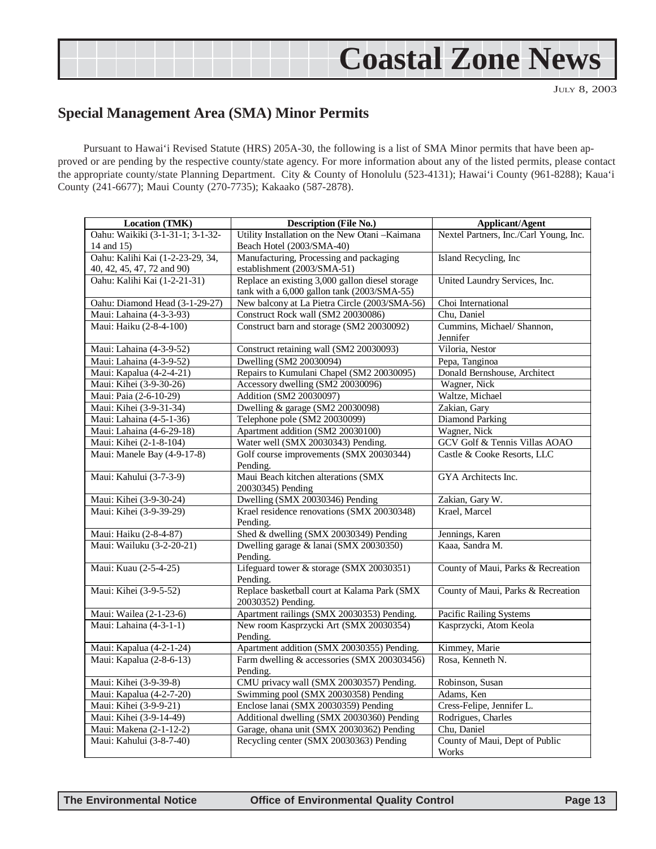## **Coastal Zone News**

JULY 8, 2003

### <span id="page-12-0"></span>**Special Management Area (SMA) Minor Permits**

Pursuant to Hawai'i Revised Statute (HRS) 205A-30, the following is a list of SMA Minor permits that have been approved or are pending by the respective county/state agency. For more information about any of the listed permits, please contact the appropriate county/state Planning Department. City & County of Honolulu (523-4131); Hawai'i County (961-8288); Kaua'i County (241-6677); Maui County (270-7735); Kakaako (587-2878).

| Location (TMK)                   | <b>Description (File No.)</b>                           | <b>Applicant/Agent</b>                 |  |
|----------------------------------|---------------------------------------------------------|----------------------------------------|--|
| Oahu: Waikiki (3-1-31-1; 3-1-32- | Utility Installation on the New Otani - Kaimana         | Nextel Partners, Inc./Carl Young, Inc. |  |
| 14 and 15)                       | Beach Hotel (2003/SMA-40)                               |                                        |  |
| Oahu: Kalihi Kai (1-2-23-29, 34, | Manufacturing, Processing and packaging                 | Island Recycling, Inc.                 |  |
| 40, 42, 45, 47, 72 and 90)       | establishment (2003/SMA-51)                             |                                        |  |
| Oahu: Kalihi Kai (1-2-21-31)     | Replace an existing 3,000 gallon diesel storage         | United Laundry Services, Inc.          |  |
|                                  | tank with a 6,000 gallon tank (2003/SMA-55)             |                                        |  |
| Oahu: Diamond Head (3-1-29-27)   | New balcony at La Pietra Circle (2003/SMA-56)           | Choi International                     |  |
| Maui: Lahaina (4-3-3-93)         | Construct Rock wall (SM2 20030086)                      | Chu, Daniel                            |  |
| Maui: Haiku (2-8-4-100)          | Construct barn and storage (SM2 20030092)               | Cummins, Michael/ Shannon,             |  |
|                                  |                                                         | Jennifer                               |  |
| Maui: Lahaina (4-3-9-52)         | Construct retaining wall (SM2 20030093)                 | Viloria, Nestor                        |  |
| Maui: Lahaina (4-3-9-52)         | Dwelling (SM2 20030094)                                 | Pepa, Tanginoa                         |  |
| Maui: Kapalua (4-2-4-21)         | Repairs to Kumulani Chapel (SM2 20030095)               | Donald Bernshouse, Architect           |  |
| Maui: Kihei (3-9-30-26)          | Accessory dwelling (SM2 20030096)                       | Wagner, Nick                           |  |
| Maui: Paia (2-6-10-29)           | Addition (SM2 20030097)                                 | Waltze, Michael                        |  |
| Maui: Kihei (3-9-31-34)          | Dwelling & garage (SM2 20030098)                        | Zakian, Gary                           |  |
| Maui: Lahaina (4-5-1-36)         | Telephone pole (SM2 20030099)                           | <b>Diamond Parking</b>                 |  |
| Maui: Lahaina (4-6-29-18)        | Apartment addition (SM2 20030100)                       | Wagner, Nick                           |  |
| Maui: Kihei (2-1-8-104)          | Water well (SMX 20030343) Pending.                      | GCV Golf & Tennis Villas AOAO          |  |
| Maui: Manele Bay (4-9-17-8)      | Golf course improvements (SMX 20030344)                 | Castle & Cooke Resorts, LLC            |  |
| Maui: Kahului (3-7-3-9)          | Pending.<br>Maui Beach kitchen alterations (SMX         | GYA Architects Inc.                    |  |
|                                  | 20030345) Pending                                       |                                        |  |
| Maui: Kihei (3-9-30-24)          | Dwelling (SMX 20030346) Pending                         | Zakian, Gary W.                        |  |
| Maui: Kihei (3-9-39-29)          | Krael residence renovations (SMX 20030348)              | Krael, Marcel                          |  |
|                                  | Pending.                                                |                                        |  |
| Maui: Haiku (2-8-4-87)           | Shed & dwelling (SMX 20030349) Pending                  | Jennings, Karen                        |  |
| Maui: Wailuku (3-2-20-21)        | Dwelling garage & lanai (SMX 20030350)                  | Kaaa. Sandra M.                        |  |
|                                  | Pending.                                                |                                        |  |
| Maui: Kuau (2-5-4-25)            | Lifeguard tower & storage (SMX 20030351)                | County of Maui, Parks & Recreation     |  |
|                                  | Pending.                                                |                                        |  |
| Maui: Kihei (3-9-5-52)           | Replace basketball court at Kalama Park (SMX            | County of Maui, Parks & Recreation     |  |
|                                  | 20030352) Pending.                                      |                                        |  |
| Maui: Wailea (2-1-23-6)          | Apartment railings (SMX 20030353) Pending.              | <b>Pacific Railing Systems</b>         |  |
| Maui: Lahaina (4-3-1-1)          | New room Kasprzycki Art (SMX 20030354)                  | Kasprzycki, Atom Keola                 |  |
|                                  | Pending.                                                |                                        |  |
| Maui: Kapalua (4-2-1-24)         | Apartment addition (SMX 20030355) Pending.              | Kimmey, Marie<br>Rosa, Kenneth N.      |  |
| Maui: Kapalua (2-8-6-13)         | Farm dwelling & accessories (SMX 200303456)<br>Pending. |                                        |  |
| Maui: Kihei (3-9-39-8)           | CMU privacy wall (SMX 20030357) Pending.                | Robinson, Susan                        |  |
| Maui: Kapalua (4-2-7-20)         | Swimming pool (SMX 20030358) Pending                    | Adams, Ken                             |  |
| Maui: Kihei (3-9-9-21)           | Enclose lanai (SMX 20030359) Pending                    | Cress-Felipe, Jennifer L.              |  |
| Maui: Kihei (3-9-14-49)          | Additional dwelling (SMX 20030360) Pending              | Rodrigues, Charles                     |  |
| Maui: Makena (2-1-12-2)          | Garage, ohana unit (SMX 20030362) Pending               | Chu, Daniel                            |  |
| Maui: Kahului (3-8-7-40)         | Recycling center (SMX 20030363) Pending                 | County of Maui, Dept of Public         |  |
|                                  |                                                         | Works                                  |  |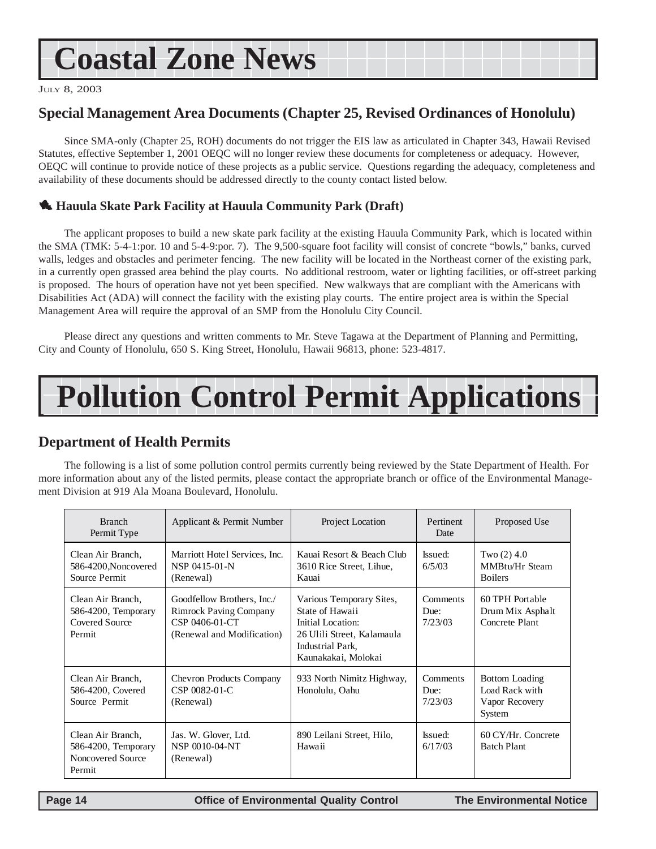## <span id="page-13-0"></span>**Coastal Zone News**

JULY 8, 2003

### **Special Management Area Documents (Chapter 25, Revised Ordinances of Honolulu)**

Since SMA-only (Chapter 25, ROH) documents do not trigger the EIS law as articulated in Chapter 343, Hawaii Revised Statutes, effective September 1, 2001 OEQC will no longer review these documents for completeness or adequacy. However, OEQC will continue to provide notice of these projects as a public service. Questions regarding the adequacy, completeness and availability of these documents should be addressed directly to the county contact listed below.

#### 1 **Hauula Skate Park Facility at Hauula Community Park (Draft)**

The applicant proposes to build a new skate park facility at the existing Hauula Community Park, which is located within the SMA (TMK: 5-4-1:por. 10 and 5-4-9:por. 7). The 9,500-square foot facility will consist of concrete "bowls," banks, curved walls, ledges and obstacles and perimeter fencing. The new facility will be located in the Northeast corner of the existing park, in a currently open grassed area behind the play courts. No additional restroom, water or lighting facilities, or off-street parking is proposed. The hours of operation have not yet been specified. New walkways that are compliant with the Americans with Disabilities Act (ADA) will connect the facility with the existing play courts. The entire project area is within the Special Management Area will require the approval of an SMP from the Honolulu City Council.

Please direct any questions and written comments to Mr. Steve Tagawa at the Department of Planning and Permitting, City and County of Honolulu, 650 S. King Street, Honolulu, Hawaii 96813, phone: 523-4817.

## **Pollution Control Permit Applications**

### **Department of Health Permits**

The following is a list of some pollution control permits currently being reviewed by the State Department of Health. For more information about any of the listed permits, please contact the appropriate branch or office of the Environmental Management Division at 919 Ala Moana Boulevard, Honolulu.

| <b>Branch</b><br>Permit Type                                            | Applicant & Permit Number                                                                                   | Project Location                                                                                                                          | Pertinent<br>Date           | Proposed Use                                                        |
|-------------------------------------------------------------------------|-------------------------------------------------------------------------------------------------------------|-------------------------------------------------------------------------------------------------------------------------------------------|-----------------------------|---------------------------------------------------------------------|
| Clean Air Branch,<br>586-4200, Noncovered<br>Source Permit              | Marriott Hotel Services, Inc.<br>NSP 0415-01-N<br>(Renewal)                                                 | Kauai Resort & Beach Club<br>3610 Rice Street, Lihue,<br>Kauai                                                                            | Issued:<br>6/5/03           | Two $(2)$ 4.0<br>MMBtu/Hr Steam<br><b>Boilers</b>                   |
| Clean Air Branch,<br>586-4200, Temporary<br>Covered Source<br>Permit    | Goodfellow Brothers, Inc./<br><b>Rimrock Paving Company</b><br>CSP 0406-01-CT<br>(Renewal and Modification) | Various Temporary Sites,<br>State of Hawaii<br>Initial Location:<br>26 Ulili Street, Kalamaula<br>Industrial Park,<br>Kaunakakai, Molokai | Comments<br>Due:<br>7/23/03 | 60 TPH Portable<br>Drum Mix Asphalt<br>Concrete Plant               |
| Clean Air Branch,<br>586-4200, Covered<br>Source Permit                 | <b>Chevron Products Company</b><br>CSP 0082-01-C<br>(Renewal)                                               | 933 North Nimitz Highway,<br>Honolulu, Oahu                                                                                               | Comments<br>Due:<br>7/23/03 | <b>Bottom Loading</b><br>Load Rack with<br>Vapor Recovery<br>System |
| Clean Air Branch,<br>586-4200, Temporary<br>Noncovered Source<br>Permit | Jas. W. Glover, Ltd.<br>NSP 0010-04-NT<br>(Renewal)                                                         | 890 Leilani Street, Hilo,<br>Hawaii                                                                                                       | Issued:<br>6/17/03          | 60 CY/Hr. Concrete<br><b>Batch Plant</b>                            |